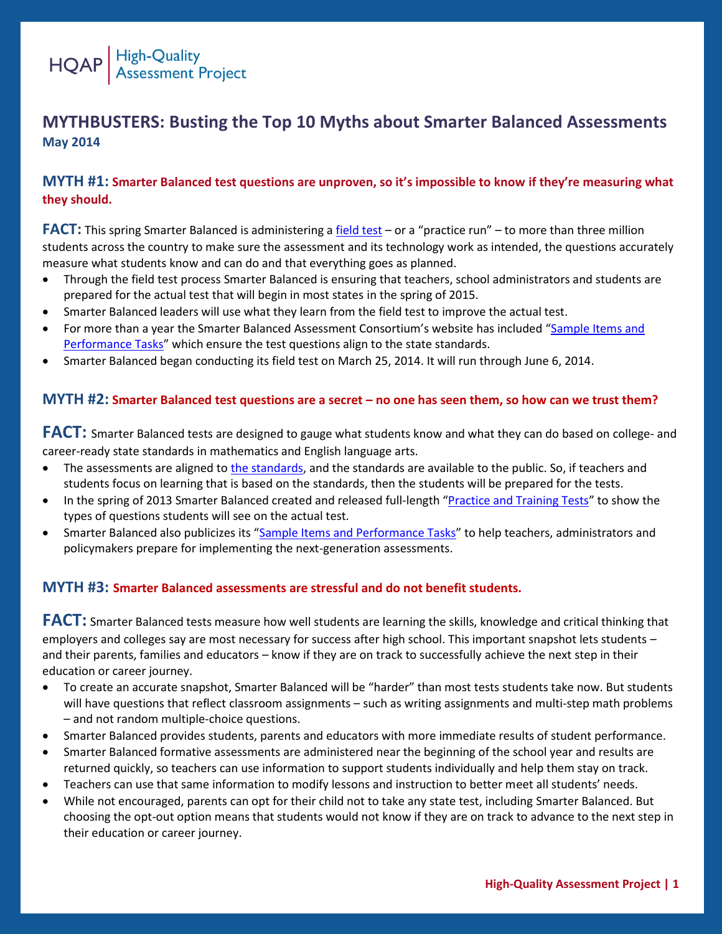

## **MYTHBUSTERS: Busting the Top 10 Myths about Smarter Balanced Assessments May 2014**

#### **MYTH #1: Smarter Balanced test questions are unproven, so it's impossible to know if they're measuring what they should.**

**FACT:** This spring Smarter Balanced is administering a [field test](http://www.smarterbalanced.org/field-test/) – or a "practice run" – to more than three million students across the country to make sure the assessment and its technology work as intended, the questions accurately measure what students know and can do and that everything goes as planned.

- Through the field test process Smarter Balanced is ensuring that teachers, school administrators and students are prepared for the actual test that will begin in most states in the spring of 2015.
- Smarter Balanced leaders will use what they learn from the field test to improve the actual test.
- For more than a year the Smarter Balanced Assessment Consortium's website has included "Sample Items and [Performance Tasks](http://www.smarterbalanced.org/sample-items-and-performance-tasks/)" which ensure the test questions align to the state standards.
- Smarter Balanced began conducting its field test on March 25, 2014. It will run through June 6, 2014.

#### **MYTH #2: Smarter Balanced test questions are a secret – no one has seen them, so how can we trust them?**

**FACT:** Smarter Balanced tests are designed to gauge what students know and what they can do based on college- and career-ready state standards in mathematics and English language arts.

- The assessments are aligned t[o the standards,](http://www.corestandards.org/read-the-standards/) and the standards are available to the public. So, if teachers and students focus on learning that is based on the standards, then the students will be prepared for the tests.
- In the spring of 2013 Smarter Balanced created and released full-length "[Practice and Training Tests](http://www.smarterbalanced.org/practice-test/)" to show the types of questions students will see on the actual test.
- Smarter Balanced also publicizes its "[Sample Items and Performance Tasks](http://www.smarterbalanced.org/sample-items-and-performance-tasks/)" to help teachers, administrators and policymakers prepare for implementing the next-generation assessments.

#### **MYTH #3: Smarter Balanced assessments are stressful and do not benefit students.**

**FACT:** Smarter Balanced tests measure how well students are learning the skills, knowledge and critical thinking that employers and colleges say are most necessary for success after high school. This important snapshot lets students – and their parents, families and educators – know if they are on track to successfully achieve the next step in their education or career journey.

- To create an accurate snapshot, Smarter Balanced will be "harder" than most tests students take now. But students will have questions that reflect classroom assignments – such as writing assignments and multi-step math problems – and not random multiple-choice questions.
- Smarter Balanced provides students, parents and educators with more immediate results of student performance.
- Smarter Balanced formative assessments are administered near the beginning of the school year and results are returned quickly, so teachers can use information to support students individually and help them stay on track.
- Teachers can use that same information to modify lessons and instruction to better meet all students' needs.
- While not encouraged, parents can opt for their child not to take any state test, including Smarter Balanced. But choosing the opt-out option means that students would not know if they are on track to advance to the next step in their education or career journey.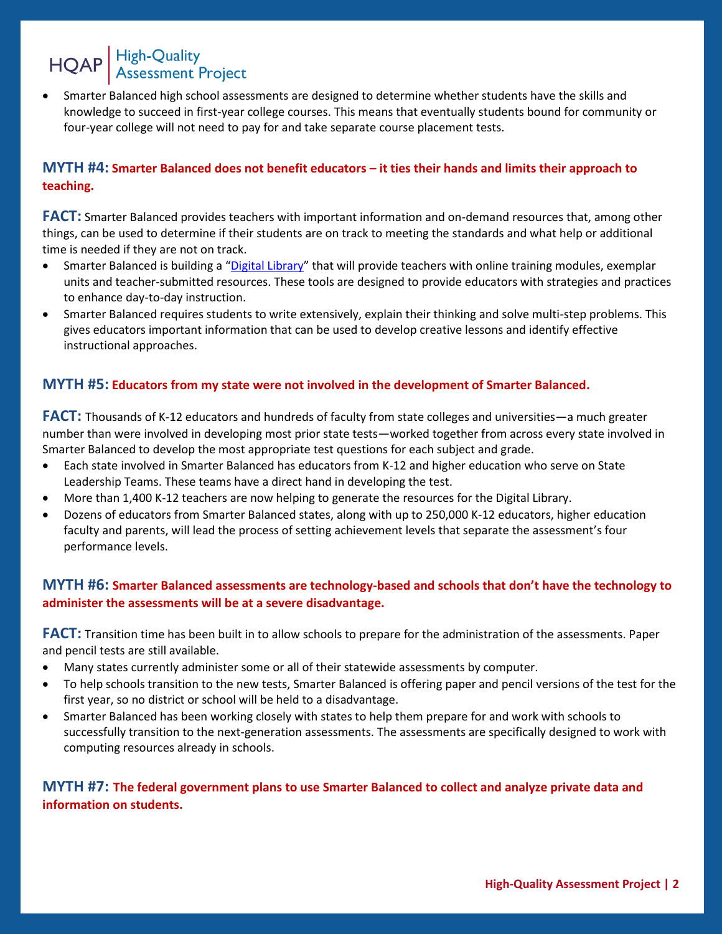# HQAP High-Quality<br>Assessment Project

 Smarter Balanced high school assessments are designed to determine whether students have the skills and knowledge to succeed in first-year college courses. This means that eventually students bound for community or four-year college will not need to pay for and take separate course placement tests.

#### **MYTH #4: Smarter Balanced does not benefit educators – it ties their hands and limits their approach to teaching.**

**FACT:** Smarter Balanced provides teachers with important information and on-demand resources that, among other things, can be used to determine if their students are on track to meeting the standards and what help or additional time is needed if they are not on track.

- Smarter Balanced is building a "[Digital Library](http://www.smarterbalanced.org/news/smarter-balanced-awards-contract-to-develop-formative-assessment-tools-for-educators/)" that will provide teachers with online training modules, exemplar units and teacher-submitted resources. These tools are designed to provide educators with strategies and practices to enhance day-to-day instruction.
- Smarter Balanced requires students to write extensively, explain their thinking and solve multi-step problems. This gives educators important information that can be used to develop creative lessons and identify effective instructional approaches.

#### **MYTH #5: Educators from my state were not involved in the development of Smarter Balanced.**

**FACT:** Thousands of K-12 educators and hundreds of faculty from state colleges and universities—a much greater number than were involved in developing most prior state tests—worked together from across every state involved in Smarter Balanced to develop the most appropriate test questions for each subject and grade.

- Each state involved in Smarter Balanced has educators from K-12 and higher education who serve on State Leadership Teams. These teams have a direct hand in developing the test.
- More than 1,400 K-12 teachers are now helping to generate the resources for the Digital Library.
- Dozens of educators from Smarter Balanced states, along with up to 250,000 K-12 educators, higher education faculty and parents, will lead the process of setting achievement levels that separate the assessment's four performance levels.

#### **MYTH #6: Smarter Balanced assessments are technology-based and schools that don't have the technology to administer the assessments will be at a severe disadvantage.**

**FACT:** Transition time has been built in to allow schools to prepare for the administration of the assessments. Paper and pencil tests are still available.

- Many states currently administer some or all of their statewide assessments by computer.
- To help schools transition to the new tests, Smarter Balanced is offering paper and pencil versions of the test for the first year, so no district or school will be held to a disadvantage.
- Smarter Balanced has been working closely with states to help them prepare for and work with schools to successfully transition to the next-generation assessments. The assessments are specifically designed to work with computing resources already in schools.

### **MYTH #7: The federal government plans to use Smarter Balanced to collect and analyze private data and information on students.**